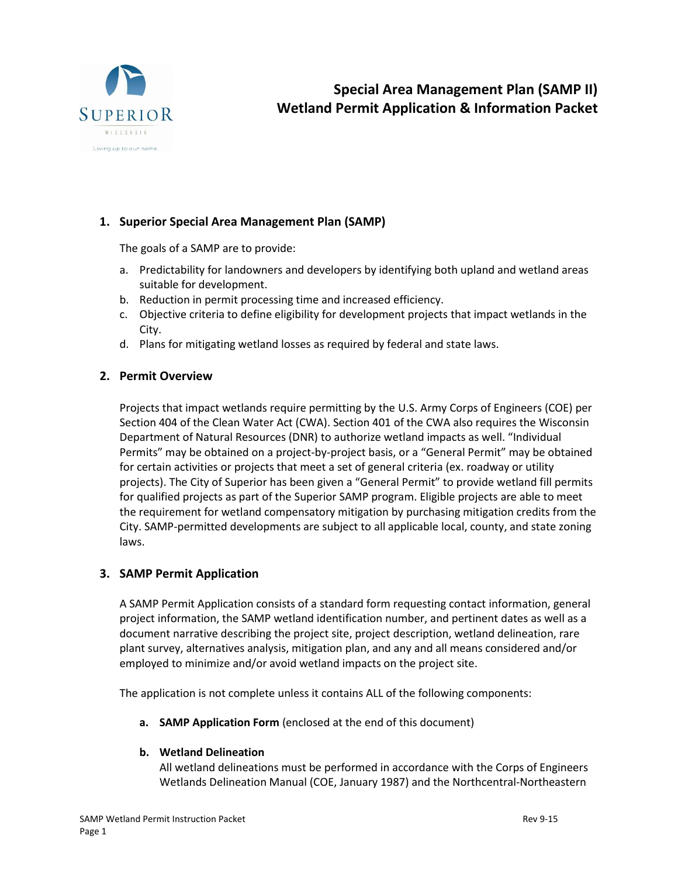

## **1. Superior Special Area Management Plan (SAMP)**

The goals of a SAMP are to provide:

- a. Predictability for landowners and developers by identifying both upland and wetland areas suitable for development.
- b. Reduction in permit processing time and increased efficiency.
- c. Objective criteria to define eligibility for development projects that impact wetlands in the City.
- d. Plans for mitigating wetland losses as required by federal and state laws.

#### **2. Permit Overview**

Projects that impact wetlands require permitting by the U.S. Army Corps of Engineers (COE) per Section 404 of the Clean Water Act (CWA). Section 401 of the CWA also requires the Wisconsin Department of Natural Resources (DNR) to authorize wetland impacts as well. "Individual Permits" may be obtained on a project-by-project basis, or a "General Permit" may be obtained for certain activities or projects that meet a set of general criteria (ex. roadway or utility projects). The City of Superior has been given a "General Permit" to provide wetland fill permits for qualified projects as part of the Superior SAMP program. Eligible projects are able to meet the requirement for wetland compensatory mitigation by purchasing mitigation credits from the City. SAMP-permitted developments are subject to all applicable local, county, and state zoning laws.

## **3. SAMP Permit Application**

A SAMP Permit Application consists of a standard form requesting contact information, general project information, the SAMP wetland identification number, and pertinent dates as well as a document narrative describing the project site, project description, wetland delineation, rare plant survey, alternatives analysis, mitigation plan, and any and all means considered and/or employed to minimize and/or avoid wetland impacts on the project site.

The application is not complete unless it contains ALL of the following components:

**a. SAMP Application Form** (enclosed at the end of this document)

#### **b. Wetland Delineation**

All wetland delineations must be performed in accordance with the Corps of Engineers Wetlands Delineation Manual (COE, January 1987) and the Northcentral-Northeastern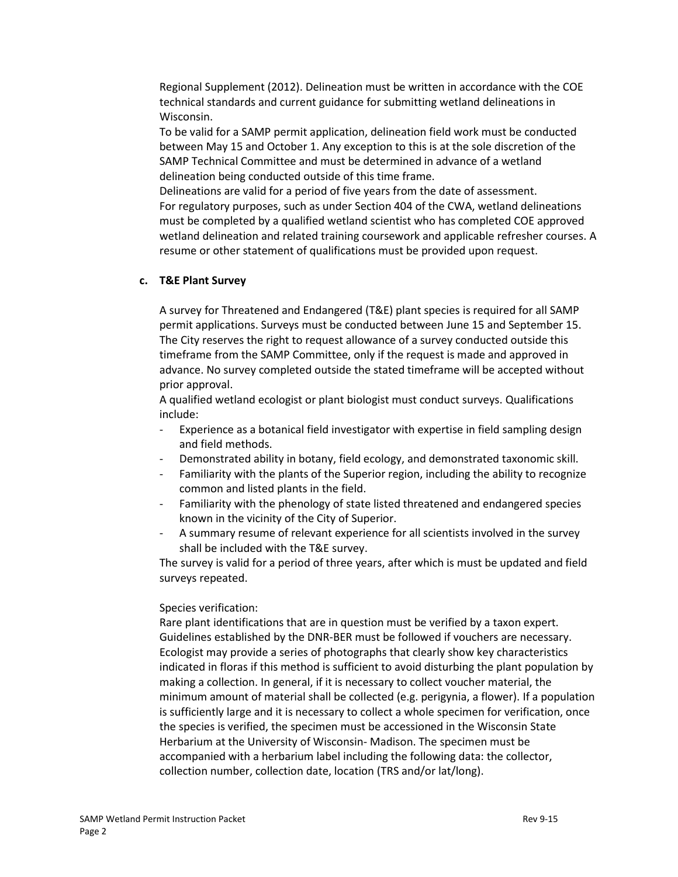Regional Supplement (2012). Delineation must be written in accordance with the COE technical standards and current guidance for submitting wetland delineations in Wisconsin.

To be valid for a SAMP permit application, delineation field work must be conducted between May 15 and October 1. Any exception to this is at the sole discretion of the SAMP Technical Committee and must be determined in advance of a wetland delineation being conducted outside of this time frame.

Delineations are valid for a period of five years from the date of assessment. For regulatory purposes, such as under Section 404 of the CWA, wetland delineations must be completed by a qualified wetland scientist who has completed COE approved wetland delineation and related training coursework and applicable refresher courses. A resume or other statement of qualifications must be provided upon request.

#### **c. T&E Plant Survey**

A survey for Threatened and Endangered (T&E) plant species is required for all SAMP permit applications. Surveys must be conducted between June 15 and September 15. The City reserves the right to request allowance of a survey conducted outside this timeframe from the SAMP Committee, only if the request is made and approved in advance. No survey completed outside the stated timeframe will be accepted without prior approval.

A qualified wetland ecologist or plant biologist must conduct surveys. Qualifications include:

- Experience as a botanical field investigator with expertise in field sampling design and field methods.
- Demonstrated ability in botany, field ecology, and demonstrated taxonomic skill.
- Familiarity with the plants of the Superior region, including the ability to recognize common and listed plants in the field.
- Familiarity with the phenology of state listed threatened and endangered species known in the vicinity of the City of Superior.
- A summary resume of relevant experience for all scientists involved in the survey shall be included with the T&E survey.

The survey is valid for a period of three years, after which is must be updated and field surveys repeated.

#### Species verification:

Rare plant identifications that are in question must be verified by a taxon expert. Guidelines established by the DNR-BER must be followed if vouchers are necessary. Ecologist may provide a series of photographs that clearly show key characteristics indicated in floras if this method is sufficient to avoid disturbing the plant population by making a collection. In general, if it is necessary to collect voucher material, the minimum amount of material shall be collected (e.g. perigynia, a flower). If a population is sufficiently large and it is necessary to collect a whole specimen for verification, once the species is verified, the specimen must be accessioned in the Wisconsin State Herbarium at the University of Wisconsin- Madison. The specimen must be accompanied with a herbarium label including the following data: the collector, collection number, collection date, location (TRS and/or lat/long).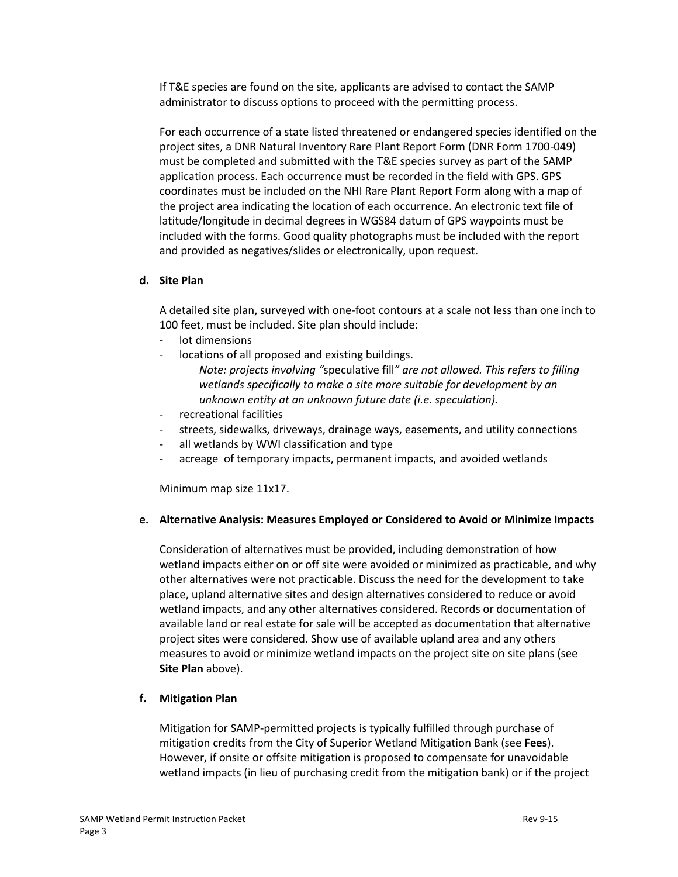If T&E species are found on the site, applicants are advised to contact the SAMP administrator to discuss options to proceed with the permitting process.

For each occurrence of a state listed threatened or endangered species identified on the project sites, a DNR Natural Inventory Rare Plant Report Form (DNR Form 1700-049) must be completed and submitted with the T&E species survey as part of the SAMP application process. Each occurrence must be recorded in the field with GPS. GPS coordinates must be included on the NHI Rare Plant Report Form along with a map of the project area indicating the location of each occurrence. An electronic text file of latitude/longitude in decimal degrees in WGS84 datum of GPS waypoints must be included with the forms. Good quality photographs must be included with the report and provided as negatives/slides or electronically, upon request.

#### **d. Site Plan**

A detailed site plan, surveyed with one-foot contours at a scale not less than one inch to 100 feet, must be included. Site plan should include:

- lot dimensions
- locations of all proposed and existing buildings.
	- *Note: projects involving "*speculative fill*" are not allowed. This refers to filling wetlands specifically to make a site more suitable for development by an unknown entity at an unknown future date (i.e. speculation).*
- recreational facilities
- streets, sidewalks, driveways, drainage ways, easements, and utility connections
- all wetlands by WWI classification and type
- acreage of temporary impacts, permanent impacts, and avoided wetlands

Minimum map size 11x17.

## **e. Alternative Analysis: Measures Employed or Considered to Avoid or Minimize Impacts**

Consideration of alternatives must be provided, including demonstration of how wetland impacts either on or off site were avoided or minimized as practicable, and why other alternatives were not practicable. Discuss the need for the development to take place, upland alternative sites and design alternatives considered to reduce or avoid wetland impacts, and any other alternatives considered. Records or documentation of available land or real estate for sale will be accepted as documentation that alternative project sites were considered. Show use of available upland area and any others measures to avoid or minimize wetland impacts on the project site on site plans (see **Site Plan** above).

## **f. Mitigation Plan**

Mitigation for SAMP-permitted projects is typically fulfilled through purchase of mitigation credits from the City of Superior Wetland Mitigation Bank (see **Fees**). However, if onsite or offsite mitigation is proposed to compensate for unavoidable wetland impacts (in lieu of purchasing credit from the mitigation bank) or if the project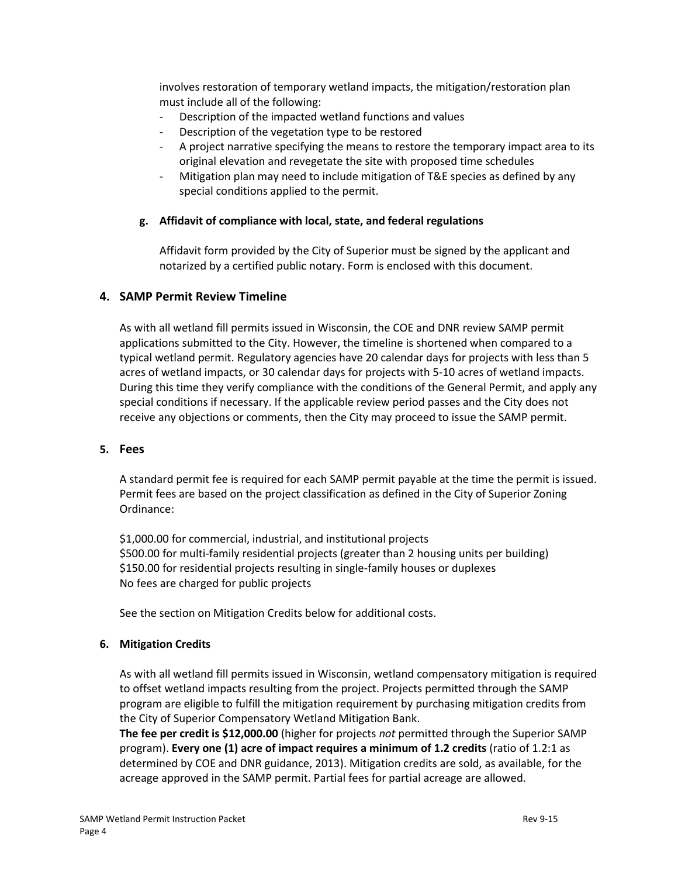involves restoration of temporary wetland impacts, the mitigation/restoration plan must include all of the following:

- Description of the impacted wetland functions and values
- Description of the vegetation type to be restored
- A project narrative specifying the means to restore the temporary impact area to its original elevation and revegetate the site with proposed time schedules
- Mitigation plan may need to include mitigation of T&E species as defined by any special conditions applied to the permit.

#### **g. Affidavit of compliance with local, state, and federal regulations**

Affidavit form provided by the City of Superior must be signed by the applicant and notarized by a certified public notary. Form is enclosed with this document.

#### **4. SAMP Permit Review Timeline**

As with all wetland fill permits issued in Wisconsin, the COE and DNR review SAMP permit applications submitted to the City. However, the timeline is shortened when compared to a typical wetland permit. Regulatory agencies have 20 calendar days for projects with less than 5 acres of wetland impacts, or 30 calendar days for projects with 5-10 acres of wetland impacts. During this time they verify compliance with the conditions of the General Permit, and apply any special conditions if necessary. If the applicable review period passes and the City does not receive any objections or comments, then the City may proceed to issue the SAMP permit.

#### **5. Fees**

A standard permit fee is required for each SAMP permit payable at the time the permit is issued. Permit fees are based on the project classification as defined in the City of Superior Zoning Ordinance:

\$1,000.00 for commercial, industrial, and institutional projects \$500.00 for multi-family residential projects (greater than 2 housing units per building) \$150.00 for residential projects resulting in single-family houses or duplexes No fees are charged for public projects

See the section on Mitigation Credits below for additional costs.

#### **6. Mitigation Credits**

As with all wetland fill permits issued in Wisconsin, wetland compensatory mitigation is required to offset wetland impacts resulting from the project. Projects permitted through the SAMP program are eligible to fulfill the mitigation requirement by purchasing mitigation credits from the City of Superior Compensatory Wetland Mitigation Bank.

**The fee per credit is \$12,000.00** (higher for projects *not* permitted through the Superior SAMP program). **Every one (1) acre of impact requires a minimum of 1.2 credits** (ratio of 1.2:1 as determined by COE and DNR guidance, 2013). Mitigation credits are sold, as available, for the acreage approved in the SAMP permit. Partial fees for partial acreage are allowed.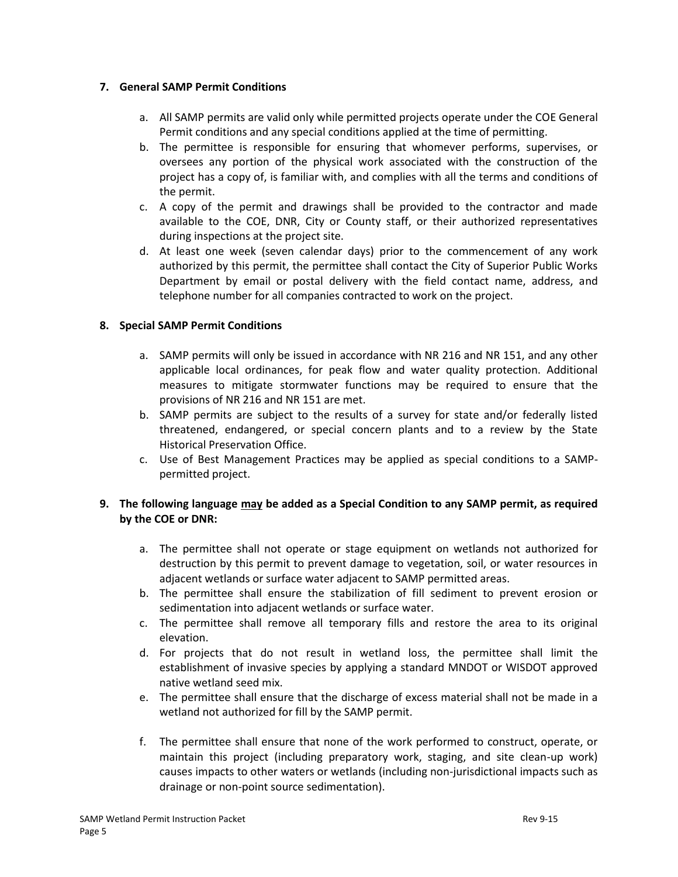#### **7. General SAMP Permit Conditions**

- a. All SAMP permits are valid only while permitted projects operate under the COE General Permit conditions and any special conditions applied at the time of permitting.
- b. The permittee is responsible for ensuring that whomever performs, supervises, or oversees any portion of the physical work associated with the construction of the project has a copy of, is familiar with, and complies with all the terms and conditions of the permit.
- c. A copy of the permit and drawings shall be provided to the contractor and made available to the COE, DNR, City or County staff, or their authorized representatives during inspections at the project site.
- d. At least one week (seven calendar days) prior to the commencement of any work authorized by this permit, the permittee shall contact the City of Superior Public Works Department by email or postal delivery with the field contact name, address, and telephone number for all companies contracted to work on the project.

## **8. Special SAMP Permit Conditions**

- a. SAMP permits will only be issued in accordance with NR 216 and NR 151, and any other applicable local ordinances, for peak flow and water quality protection. Additional measures to mitigate stormwater functions may be required to ensure that the provisions of NR 216 and NR 151 are met.
- b. SAMP permits are subject to the results of a survey for state and/or federally listed threatened, endangered, or special concern plants and to a review by the State Historical Preservation Office.
- c. Use of Best Management Practices may be applied as special conditions to a SAMPpermitted project.

## **9. The following language may be added as a Special Condition to any SAMP permit, as required by the COE or DNR:**

- a. The permittee shall not operate or stage equipment on wetlands not authorized for destruction by this permit to prevent damage to vegetation, soil, or water resources in adjacent wetlands or surface water adjacent to SAMP permitted areas.
- b. The permittee shall ensure the stabilization of fill sediment to prevent erosion or sedimentation into adjacent wetlands or surface water.
- c. The permittee shall remove all temporary fills and restore the area to its original elevation.
- d. For projects that do not result in wetland loss, the permittee shall limit the establishment of invasive species by applying a standard MNDOT or WISDOT approved native wetland seed mix.
- e. The permittee shall ensure that the discharge of excess material shall not be made in a wetland not authorized for fill by the SAMP permit.
- f. The permittee shall ensure that none of the work performed to construct, operate, or maintain this project (including preparatory work, staging, and site clean-up work) causes impacts to other waters or wetlands (including non-jurisdictional impacts such as drainage or non-point source sedimentation).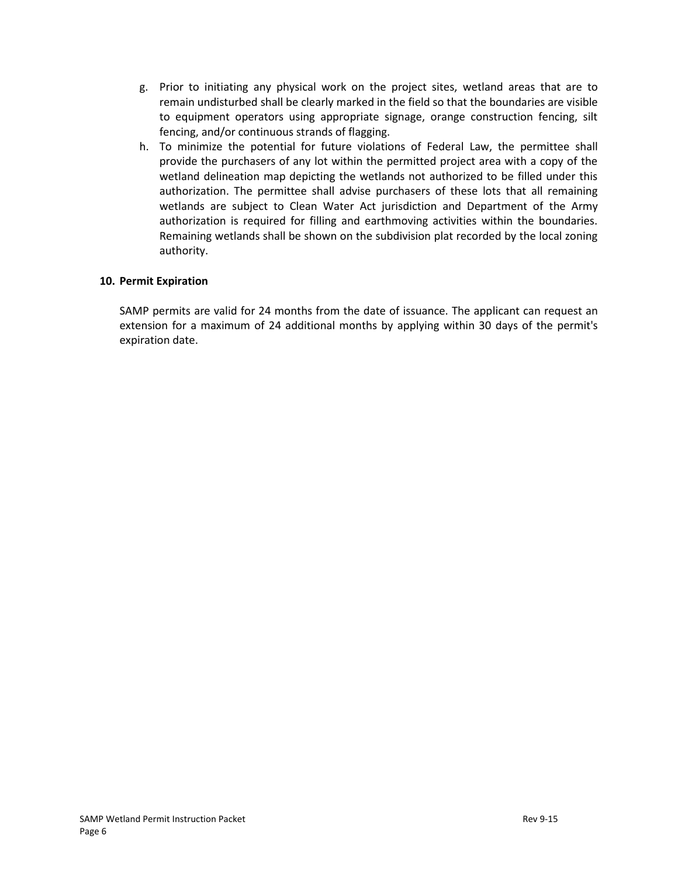- g. Prior to initiating any physical work on the project sites, wetland areas that are to remain undisturbed shall be clearly marked in the field so that the boundaries are visible to equipment operators using appropriate signage, orange construction fencing, silt fencing, and/or continuous strands of flagging.
- h. To minimize the potential for future violations of Federal Law, the permittee shall provide the purchasers of any lot within the permitted project area with a copy of the wetland delineation map depicting the wetlands not authorized to be filled under this authorization. The permittee shall advise purchasers of these lots that all remaining wetlands are subject to Clean Water Act jurisdiction and Department of the Army authorization is required for filling and earthmoving activities within the boundaries. Remaining wetlands shall be shown on the subdivision plat recorded by the local zoning authority.

#### **10. Permit Expiration**

SAMP permits are valid for 24 months from the date of issuance. The applicant can request an extension for a maximum of 24 additional months by applying within 30 days of the permit's expiration date.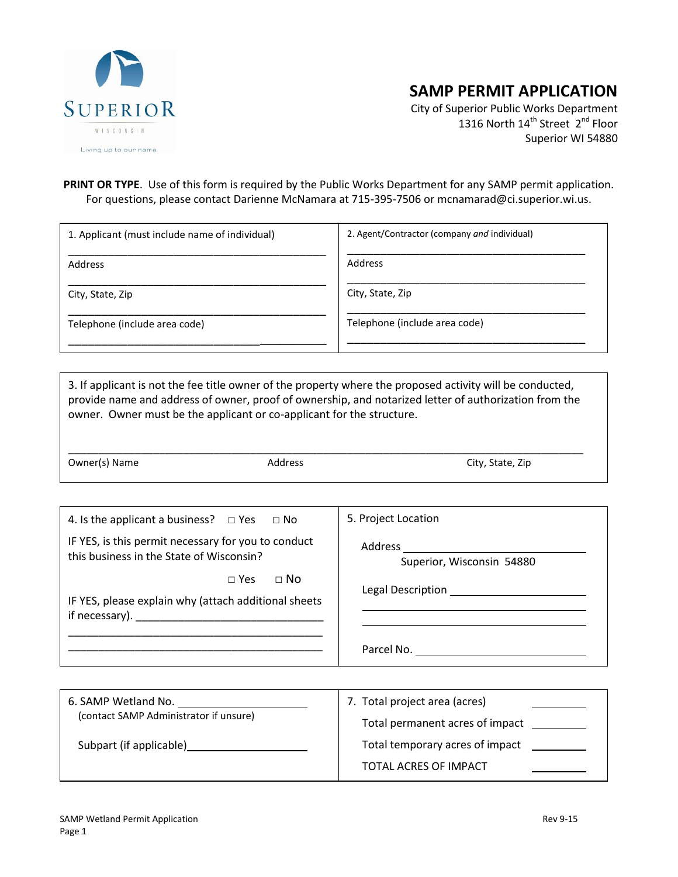

# **SAMP PERMIT APPLICATION**

City of Superior Public Works Department 1316 North 14<sup>th</sup> Street 2<sup>nd</sup> Floor Superior WI 54880

#### **PRINT OR TYPE**. Use of this form is required by the Public Works Department for any SAMP permit application. For questions, please contact Darienne McNamara at 715-395-7506 or mcnamarad@ci.superior.wi.us.

| 1. Applicant (must include name of individual) | 2. Agent/Contractor (company and individual) |  |
|------------------------------------------------|----------------------------------------------|--|
| Address                                        | Address                                      |  |
| City, State, Zip                               | City, State, Zip                             |  |
| Telephone (include area code)                  | Telephone (include area code)                |  |
|                                                |                                              |  |

3. If applicant is not the fee title owner of the property where the proposed activity will be conducted, provide name and address of owner, proof of ownership, and notarized letter of authorization from the owner. Owner must be the applicant or co-applicant for the structure.

\_\_\_\_\_\_\_\_\_\_\_\_\_\_\_\_\_\_\_\_\_\_\_\_\_\_\_\_\_\_\_\_\_\_\_\_\_\_\_\_\_\_\_\_\_\_\_\_\_\_\_\_\_\_\_\_\_\_\_\_\_\_\_\_\_\_\_\_\_\_\_\_\_\_\_\_\_\_\_\_\_\_\_\_\_

Owner(s) Name Address Address City, State, Zip

| 4. Is the applicant a business? $\Box$ Yes $\Box$ No                                            | 5. Project Location                    |
|-------------------------------------------------------------------------------------------------|----------------------------------------|
| IF YES, is this permit necessary for you to conduct<br>this business in the State of Wisconsin? | Superior, Wisconsin 54880              |
| $\Box$ No<br>$\sqcap$ Yes<br>IF YES, please explain why (attach additional sheets               |                                        |
|                                                                                                 | Parcel No. <u>____________________</u> |
|                                                                                                 |                                        |

| 6. SAMP Wetland No.<br>(contact SAMP Administrator if unsure) | 7. Total project area (acres)   |
|---------------------------------------------------------------|---------------------------------|
|                                                               | Total permanent acres of impact |
| Subpart (if applicable)                                       | Total temporary acres of impact |
|                                                               | TOTAL ACRES OF IMPACT           |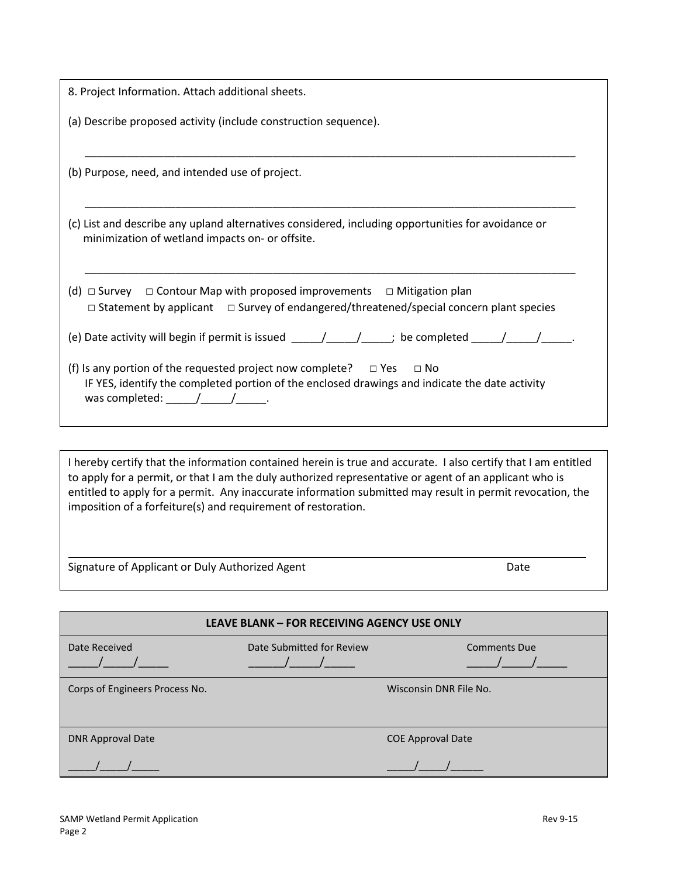| 8. Project Information. Attach additional sheets.                                                                                                                                                                                                                    |
|----------------------------------------------------------------------------------------------------------------------------------------------------------------------------------------------------------------------------------------------------------------------|
| (a) Describe proposed activity (include construction sequence).                                                                                                                                                                                                      |
| (b) Purpose, need, and intended use of project.                                                                                                                                                                                                                      |
| (c) List and describe any upland alternatives considered, including opportunities for avoidance or<br>minimization of wetland impacts on- or offsite.                                                                                                                |
| (d) $\Box$ Survey $\Box$ Contour Map with proposed improvements $\Box$ Mitigation plan<br>$\Box$ Statement by applicant $\Box$ Survey of endangered/threatened/special concern plant species                                                                         |
| (e) Date activity will begin if permit is issued $\underline{\qquad \qquad }$ $\underline{\qquad \qquad }$ be completed $\underline{\qquad \qquad }$                                                                                                                 |
| (f) Is any portion of the requested project now complete? $\Box$ Yes $\Box$ No<br>IF YES, identify the completed portion of the enclosed drawings and indicate the date activity<br>was completed: $\frac{1}{\sqrt{1-\frac{1}{2}}}\frac{1}{\sqrt{1-\frac{1}{2}}}\$ . |

I hereby certify that the information contained herein is true and accurate. I also certify that I am entitled to apply for a permit, or that I am the duly authorized representative or agent of an applicant who is entitled to apply for a permit. Any inaccurate information submitted may result in permit revocation, the imposition of a forfeiture(s) and requirement of restoration.

Signature of Applicant or Duly Authorized Agent data and Date Date

| <b>LEAVE BLANK - FOR RECEIVING AGENCY USE ONLY</b> |                           |                          |  |
|----------------------------------------------------|---------------------------|--------------------------|--|
| Date Received                                      | Date Submitted for Review | <b>Comments Due</b>      |  |
| Corps of Engineers Process No.                     |                           | Wisconsin DNR File No.   |  |
| <b>DNR Approval Date</b>                           |                           | <b>COE</b> Approval Date |  |
|                                                    |                           |                          |  |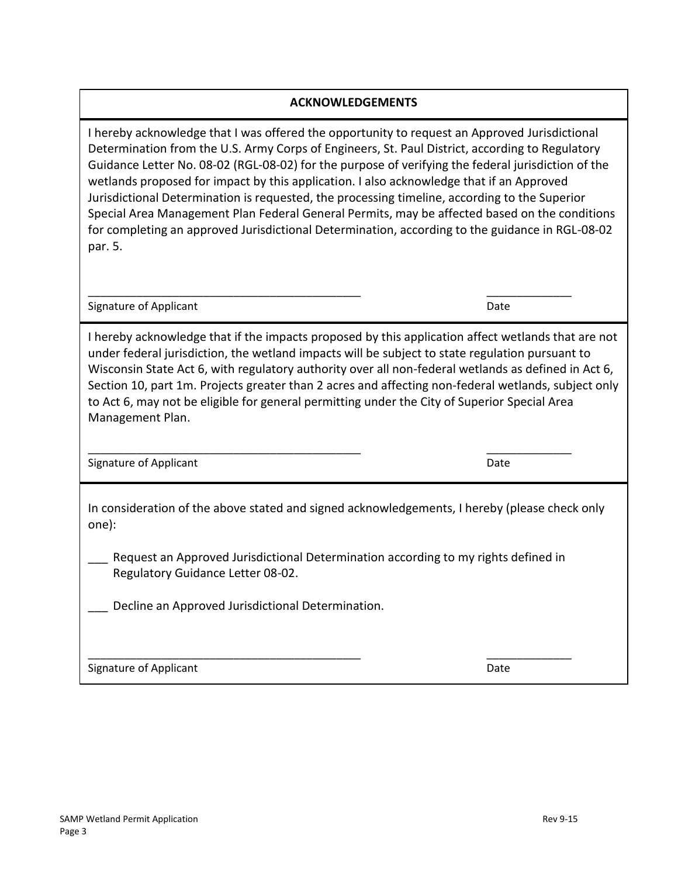## **ACKNOWLEDGEMENTS**

I hereby acknowledge that I was offered the opportunity to request an Approved Jurisdictional Determination from the U.S. Army Corps of Engineers, St. Paul District, according to Regulatory Guidance Letter No. 08-02 (RGL-08-02) for the purpose of verifying the federal jurisdiction of the wetlands proposed for impact by this application. I also acknowledge that if an Approved Jurisdictional Determination is requested, the processing timeline, according to the Superior Special Area Management Plan Federal General Permits, may be affected based on the conditions for completing an approved Jurisdictional Determination, according to the guidance in RGL-08-02 par. 5.

Signature of Applicant Date of Applicant Date of Applicant Date of Applicant Date of Applicant Date of Applicant Date of Applicant Date of Applicant Date of Applicant Date of Applicant Date of Applicant Date of Applicant D

I hereby acknowledge that if the impacts proposed by this application affect wetlands that are not under federal jurisdiction, the wetland impacts will be subject to state regulation pursuant to Wisconsin State Act 6, with regulatory authority over all non-federal wetlands as defined in Act 6, Section 10, part 1m. Projects greater than 2 acres and affecting non-federal wetlands, subject only to Act 6, may not be eligible for general permitting under the City of Superior Special Area Management Plan.

Signature of Applicant Date Communications and Date Date Date

In consideration of the above stated and signed acknowledgements, I hereby (please check only one):

Request an Approved Jurisdictional Determination according to my rights defined in Regulatory Guidance Letter 08-02.

\_\_\_\_\_\_\_\_\_\_\_\_\_\_\_\_\_\_\_\_\_\_\_\_\_\_\_\_\_\_\_\_\_\_\_\_\_\_\_\_\_\_\_\_\_ \_\_\_\_\_\_\_\_\_\_\_\_\_\_

Decline an Approved Jurisdictional Determination.

Signature of Applicant Date of Applicant Date of Applicant Date of Applicant Date of Applicant Date of Applicant Date of Applicant Date of Applicant Date of Applicant Date of Applicant Date of Applicant Date of Applicant D

\_\_\_\_\_\_\_\_\_\_\_\_\_\_\_\_\_\_\_\_\_\_\_\_\_\_\_\_\_\_\_\_\_\_\_\_\_\_\_\_\_\_\_\_\_ \_\_\_\_\_\_\_\_\_\_\_\_\_\_

\_\_\_\_\_\_\_\_\_\_\_\_\_\_\_\_\_\_\_\_\_\_\_\_\_\_\_\_\_\_\_\_\_\_\_\_\_\_\_\_\_\_\_\_\_ \_\_\_\_\_\_\_\_\_\_\_\_\_\_